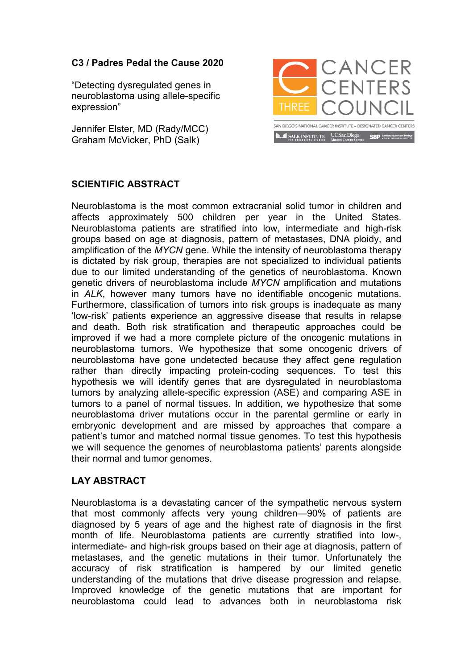## **C3 / Padres Pedal the Cause 2020**

"Detecting dysregulated genes in neuroblastoma using allele-specific expression"

Jennifer Elster, MD (Rady/MCC) Graham McVicker, PhD (Salk)



## **SCIENTIFIC ABSTRACT**

Neuroblastoma is the most common extracranial solid tumor in children and affects approximately 500 children per year in the United States. Neuroblastoma patients are stratified into low, intermediate and high-risk groups based on age at diagnosis, pattern of metastases, DNA ploidy, and amplification of the *MYCN* gene. While the intensity of neuroblastoma therapy is dictated by risk group, therapies are not specialized to individual patients due to our limited understanding of the genetics of neuroblastoma. Known genetic drivers of neuroblastoma include *MYCN* amplification and mutations in *ALK*, however many tumors have no identifiable oncogenic mutations. Furthermore, classification of tumors into risk groups is inadequate as many 'low-risk' patients experience an aggressive disease that results in relapse and death. Both risk stratification and therapeutic approaches could be improved if we had a more complete picture of the oncogenic mutations in neuroblastoma tumors. We hypothesize that some oncogenic drivers of neuroblastoma have gone undetected because they affect gene regulation rather than directly impacting protein-coding sequences. To test this hypothesis we will identify genes that are dysregulated in neuroblastoma tumors by analyzing allele-specific expression (ASE) and comparing ASE in tumors to a panel of normal tissues. In addition, we hypothesize that some neuroblastoma driver mutations occur in the parental germline or early in embryonic development and are missed by approaches that compare a patient's tumor and matched normal tissue genomes. To test this hypothesis we will sequence the genomes of neuroblastoma patients' parents alongside their normal and tumor genomes.

## **LAY ABSTRACT**

Neuroblastoma is a devastating cancer of the sympathetic nervous system that most commonly affects very young children—90% of patients are diagnosed by 5 years of age and the highest rate of diagnosis in the first month of life. Neuroblastoma patients are currently stratified into low-, intermediate- and high-risk groups based on their age at diagnosis, pattern of metastases, and the genetic mutations in their tumor. Unfortunately the accuracy of risk stratification is hampered by our limited genetic understanding of the mutations that drive disease progression and relapse. Improved knowledge of the genetic mutations that are important for neuroblastoma could lead to advances both in neuroblastoma risk